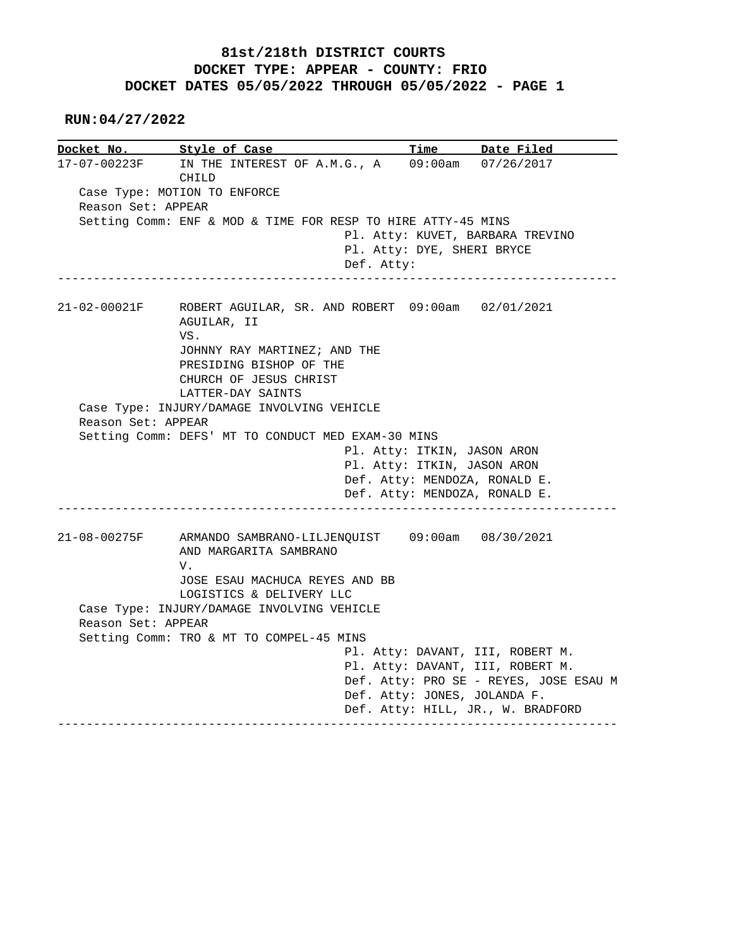## **81st/218th DISTRICT COURTS DOCKET TYPE: APPEAR - COUNTY: FRIO DOCKET DATES 05/05/2022 THROUGH 05/05/2022 - PAGE 1**

 **RUN:04/27/2022**

|                    | Docket No. Style of Case                                     |                            | Time Date Filed                        |
|--------------------|--------------------------------------------------------------|----------------------------|----------------------------------------|
| 17-07-00223F       | IN THE INTEREST OF A.M.G., A                                 |                            | 09:00am 07/26/2017                     |
|                    | CHILD                                                        |                            |                                        |
|                    | Case Type: MOTION TO ENFORCE                                 |                            |                                        |
| Reason Set: APPEAR |                                                              |                            |                                        |
|                    | Setting Comm: ENF & MOD & TIME FOR RESP TO HIRE ATTY-45 MINS |                            |                                        |
|                    |                                                              |                            | Pl. Atty: KUVET, BARBARA TREVINO       |
|                    |                                                              | Pl. Atty: DYE, SHERI BRYCE |                                        |
|                    | Def. Atty:                                                   |                            |                                        |
|                    |                                                              |                            |                                        |
| 21-02-00021F       | ROBERT AGUILAR, SR. AND ROBERT 09:00am 02/01/2021            |                            |                                        |
|                    | AGUILAR, II                                                  |                            |                                        |
|                    | VS.                                                          |                            |                                        |
|                    | JOHNNY RAY MARTINEZ; AND THE                                 |                            |                                        |
|                    | PRESIDING BISHOP OF THE                                      |                            |                                        |
|                    | CHURCH OF JESUS CHRIST                                       |                            |                                        |
|                    | LATTER-DAY SAINTS                                            |                            |                                        |
|                    | Case Type: INJURY/DAMAGE INVOLVING VEHICLE                   |                            |                                        |
|                    |                                                              |                            |                                        |
| Reason Set: APPEAR |                                                              |                            |                                        |
|                    |                                                              |                            |                                        |
|                    | Setting Comm: DEFS' MT TO CONDUCT MED EXAM-30 MINS           |                            |                                        |
|                    |                                                              |                            | Pl. Atty: ITKIN, JASON ARON            |
|                    |                                                              |                            | Pl. Atty: ITKIN, JASON ARON            |
|                    |                                                              |                            | Def. Atty: MENDOZA, RONALD E.          |
|                    |                                                              |                            | Def. Atty: MENDOZA, RONALD E.          |
|                    |                                                              |                            |                                        |
|                    | 21-08-00275F ARMANDO SAMBRANO-LILJENQUIST 09:00am 08/30/2021 |                            |                                        |
|                    | AND MARGARITA SAMBRANO                                       |                            |                                        |
|                    | V.                                                           |                            |                                        |
|                    | JOSE ESAU MACHUCA REYES AND BB                               |                            |                                        |
|                    | LOGISTICS & DELIVERY LLC                                     |                            |                                        |
|                    | Case Type: INJURY/DAMAGE INVOLVING VEHICLE                   |                            |                                        |
| Reason Set: APPEAR |                                                              |                            |                                        |
|                    | Setting Comm: TRO & MT TO COMPEL-45 MINS                     |                            |                                        |
|                    |                                                              |                            | Pl. Atty: DAVANT, III, ROBERT M.       |
|                    |                                                              |                            | Pl. Atty: DAVANT, III, ROBERT M.       |
|                    |                                                              |                            | Def. Atty: PRO SE - REYES, JOSE ESAU M |
|                    |                                                              |                            | Def. Atty: JONES, JOLANDA F.           |